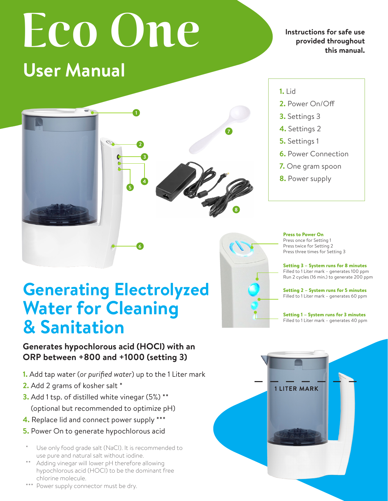# **User Manual provided throughout**

**Electronic Cleaning Cleaning Cleaning Cleaning Cleaning Cleaning Cleaning Cleaning Cleaning Cleaning Cleaning** C<br> **Electronic Cleaning Cleaning Cleaning Cleaning Cleaning Cleaning Cleaning Cleaning Cleaning Cleaning Clean Instructions for safe use this manual.**

**Generates hypochlorous acid (HOCl) with an**



#### **1.** Lid **ORP between +800 and +1000 (setting 3).**

- **2.** Power On/Off
- **3.** Settings 3 **1.** Add to the 1 Literature of the 1 Literature matrices water of the 1 Literature matrices water and 1 Literature matrices water matrices water and 1 Literature matrices water and 1 Literature matrices water and 1 Litera
	- **4.** Settings 2
	- **5.** Settings 1
- **6.** Power Connection
	- **7.** One gram spoon
- **8.** Power supply **4.** Place lid and plug-in the power supply \*\*\*

## **Generating Electrolyzed Water for Cleaning & Sanitation**

### **Generates hypochlorous acid (HOCl) with an ORP between +800 and +1000 (setting 3)**

- **1.** Add tap water (*or purified water*) up to the 1 Liter mark
- **2.** Add 2 grams of kosher salt \*
- **3.** Add 1 tsp. of distilled white vinegar (5%) \*\* (optional but recommended to optimize pH)
- **4.** Replace lid and connect power supply \*\*\*
- **5.** Power On to generate hypochlorous acid
- Use only food grade salt (NaCl). It is recommended to use pure and natural salt without iodine.
- \*\* Adding vinegar will lower pH therefore allowing hypochlorous acid (HOCl) to be the dominant free chlorine molecule.
- \*\*\* Power supply connector must be dry.



Press to Power On Press twice for Setting 2

Press once for Setting 1 Press twice for Setting 2 Press three times for Setting 3 ng r<br>ing 2

Setting 3 – System runs for 8 minutes Filled to 1 Liter mark – generates 100 ppm Filled to 1 Liter mark – generates 100 ppm Run 2 cycles (16 min.) to generate 200 ppm **Setting 3 – System runs for 8 minutes** jenerate 200 ppm

Setting 2 – System runs for 5 minutes Filled to 1 Liter mark – generates 60 ppm **Setting 2 – System runs for 5 minutes**

Setting 1 – System runs for 3 minutes **Filled to 1 Liter mark – generates 40 ppm**  $f_{\text{out}}$  2 unionized for  $\theta$